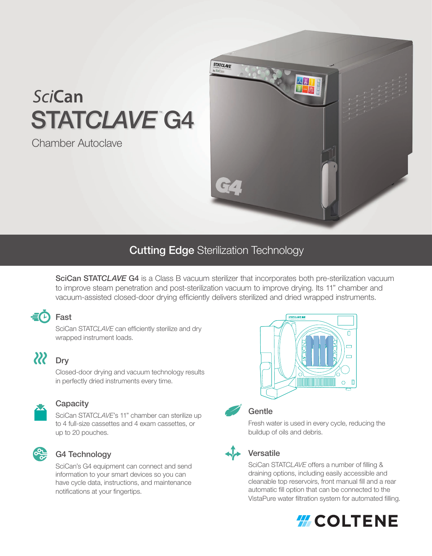# SciCan STATCLAVE G4

Chamber Autoclave



### **Cutting Edge Sterilization Technology**

SciCan STATCLAVE G4 is a Class B vacuum sterilizer that incorporates both pre-sterilization vacuum to improve steam penetration and post-sterilization vacuum to improve drying. Its 11" chamber and vacuum-assisted closed-door drying efficiently delivers sterilized and dried wrapped instruments.

#### $E(D)$  Fast

SciCan STAT*CLAVE* can efficiently sterilize and dry wrapped instrument loads.

## $\boldsymbol{22}$

Dry

Closed-door drying and vacuum technology results in perfectly dried instruments every time.



#### **Capacity**

SciCan STAT*CLAVE*'s 11" chamber can sterilize up to 4 full-size cassettes and 4 exam cassettes, or up to 20 pouches.



#### G4 Technology

SciCan's G4 equipment can connect and send information to your smart devices so you can have cycle data, instructions, and maintenance notifications at your fingertips.





#### **Gentle**

Fresh water is used in every cycle, reducing the buildup of oils and debris.



#### **Versatile**

SciCan STAT*CLAVE* offers a number of filling & draining options, including easily accessible and cleanable top reservoirs, front manual fill and a rear automatic fill option that can be connected to the VistaPure water filtration system for automated filling.